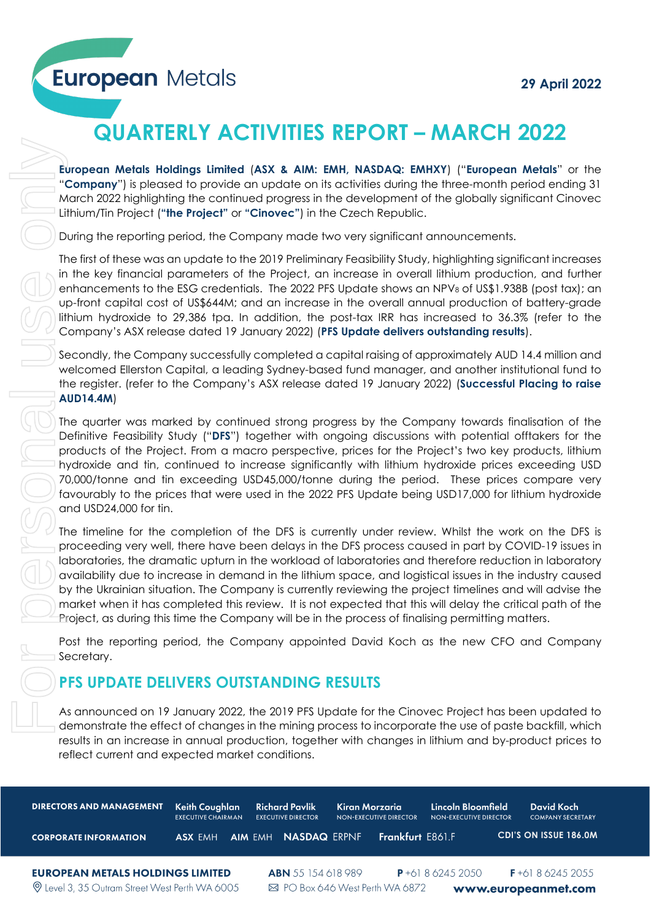# **QUARTERLY ACTIVITIES REPORT – MARCH 2022**

**European Metals Holdings Limited** (**ASX & AIM: EMH, NASDAQ: EMHXY**) ("**European Metals**" or the "**Company**") is pleased to provide an update on its activities during the three-month period ending 31 March 2022 highlighting the continued progress in the development of the globally significant Cinovec Lithium/Tin Project (**"the Project"** or **"Cinovec"**) in the Czech Republic.

During the reporting period, the Company made two very significant announcements.

The first of these was an update to the 2019 Preliminary Feasibility Study, highlighting significant increases in the key financial parameters of the Project, an increase in overall lithium production, and further enhancements to the ESG credentials. The 2022 PFS Update shows an NPV<sub>8</sub> of US\$1.938B (post tax); an up-front capital cost of US\$644M; and an increase in the overall annual production of battery-grade lithium hydroxide to 29,386 tpa. In addition, the post-tax IRR has increased to 36.3% (refer to the Company's ASX release dated 19 January 2022) (**PFS Update delivers outstanding results**).

Secondly, the Company successfully completed a capital raising of approximately AUD 14.4 million and welcomed Ellerston Capital, a leading Sydney-based fund manager, and another institutional fund to the register. (refer to the Company's ASX release dated 19 January 2022) (**Successful Placing to raise AUD14.4M**)

The quarter was marked by continued strong progress by the Company towards finalisation of the Definitive Feasibility Study ("**DFS**") together with ongoing discussions with potential offtakers for the products of the Project. From a macro perspective, prices for the Project's two key products, lithium hydroxide and tin, continued to increase significantly with lithium hydroxide prices exceeding USD 70,000/tonne and tin exceeding USD45,000/tonne during the period. These prices compare very favourably to the prices that were used in the 2022 PFS Update being USD17,000 for lithium hydroxide and USD24,000 for tin.

The timeline for the completion of the DFS is currently under review. Whilst the work on the DFS is proceeding very well, there have been delays in the DFS process caused in part by COVID-19 issues in laboratories, the dramatic upturn in the workload of laboratories and therefore reduction in laboratory availability due to increase in demand in the lithium space, and logistical issues in the industry caused by the Ukrainian situation. The Company is currently reviewing the project timelines and will advise the market when it has completed this review. It is not expected that this will delay the critical path of the Project, as during this time the Company will be in the process of finalising permitting matters.

Post the reporting period, the Company appointed David Koch as the new CFO and Company Secretary.

# **PFS UPDATE DELIVERS OUTSTANDING RESULTS**

As announced on 19 January 2022, the 2019 PFS Update for the Cinovec Project has been updated to demonstrate the effect of changes in the mining process to incorporate the use of paste backfill, which results in an increase in annual production, together with changes in lithium and by-product prices to

| <b>DIRECTORS AND MANAGEMENT</b>                | Keith Coughlan<br><b>EXECUTIVE CHAIRMAN</b> | <b>Richard Pavlik</b><br><b>EXECUTIVE DIRECTOR</b> | Kiran Morzaria<br>NON-EXECUTIVE DIRECTOR | Lincoln Bloomfield<br><b>NON-EXECUTIVE DIRECTOR</b> | <b>David Koch</b><br><b>COMPANY SECRETARY</b> |
|------------------------------------------------|---------------------------------------------|----------------------------------------------------|------------------------------------------|-----------------------------------------------------|-----------------------------------------------|
| <b>CORPORATE INFORMATION</b>                   | <b>ASX EMH</b>                              | NASDAQ ERPNF<br><b>AIM EMH</b>                     | Frankfurt E861.F                         |                                                     | <b>CDI'S ON ISSUE 186.0M</b>                  |
|                                                |                                             |                                                    |                                          |                                                     |                                               |
| <b>EUROPEAN METALS HOLDINGS LIMITED</b>        |                                             | <b>ABN</b> 55 154 618 989                          |                                          | $P + 61862452050$                                   | $F + 61862452055$                             |
| Q Level 3, 35 Outram Street West Perth WA 6005 |                                             |                                                    | ⊠ PO Box 646 West Perth WA 6872          |                                                     | www.europeanmet.com                           |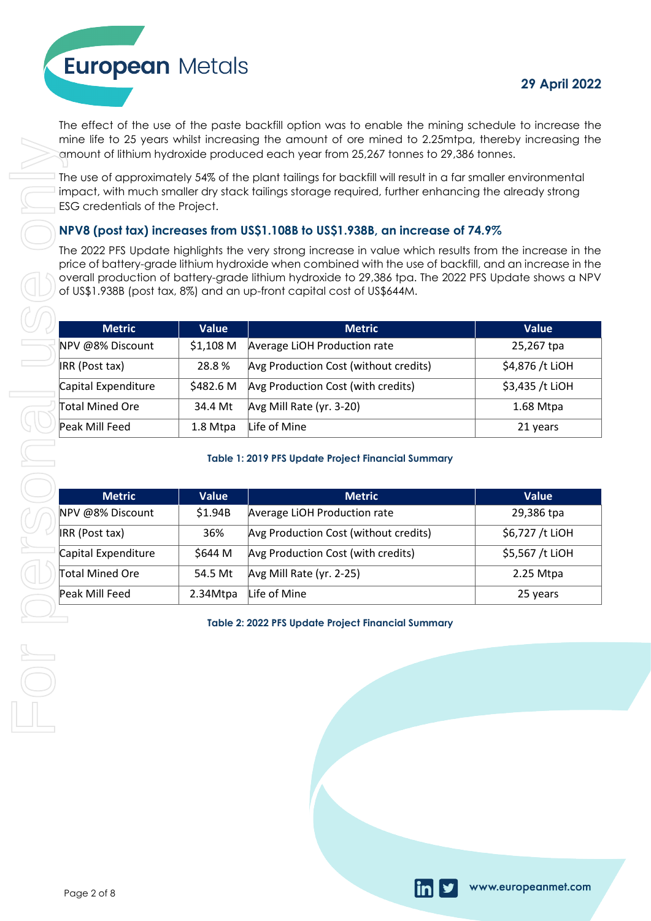### **29 April 2022**

www.europeanmet.com

The effect of the use of the paste backfill option was to enable the mining schedule to increase the mine life to 25 years whilst increasing the amount of ore mined to 2.25mtpa, thereby increasing the amount of lithium hydroxide produced each year from 25,267 tonnes to 29,386 tonnes.

#### **NPV8 (post tax) increases from US\$1.108B to US\$1.938B, an increase of 74.9%**

| <b>Metric</b>          | Value      | <b>Metric</b>                         | <b>Value</b>    |
|------------------------|------------|---------------------------------------|-----------------|
| NPV @8% Discount       | $$1,108$ M | Average LiOH Production rate          | 25,267 tpa      |
| IRR (Post tax)         | 28.8%      | Avg Production Cost (without credits) | \$4,876 /t LiOH |
| Capital Expenditure    | \$482.6 M  | Avg Production Cost (with credits)    | \$3,435 /t LiOH |
| <b>Total Mined Ore</b> | 34.4 Mt    | Avg Mill Rate (yr. 3-20)              | 1.68 Mtpa       |
| Peak Mill Feed         | 1.8 Mtpa   | Life of Mine                          | 21 years        |

#### **Table 1: 2019 PFS Update Project Financial Summary**

|                                   | ESG credentials of the Project. | NPV8 (post tax) increases from US\$1.108B to US\$1.938B, an increase of 74.9%                                                                                                                                                                                                                                                                                                                        |                              |
|-----------------------------------|---------------------------------|------------------------------------------------------------------------------------------------------------------------------------------------------------------------------------------------------------------------------------------------------------------------------------------------------------------------------------------------------------------------------------------------------|------------------------------|
|                                   |                                 | The 2022 PFS Update highlights the very strong increase in value which results from the increase in the<br>price of battery-grade lithium hydroxide when combined with the use of backfill, and an increase in the<br>overall production of battery-grade lithium hydroxide to 29,386 tpa. The 2022 PFS Update shows a NPV<br>of US\$1.938B (post tax, 8%) and an up-front capital cost of US\$644M. |                              |
| <b>Metric</b>                     | <b>Value</b>                    | <b>Metric</b>                                                                                                                                                                                                                                                                                                                                                                                        | <b>Value</b>                 |
| NPV @8% Discount                  | \$1,108 M                       | Average LiOH Production rate                                                                                                                                                                                                                                                                                                                                                                         | 25,267 tpa                   |
| IRR (Post tax)                    | 28.8%                           | Avg Production Cost (without credits)                                                                                                                                                                                                                                                                                                                                                                | \$4,876 /t LiOH              |
| Capital Expenditure               | \$482.6 M                       | Avg Production Cost (with credits)                                                                                                                                                                                                                                                                                                                                                                   | \$3,435 /t LiOH              |
| Total Mined Ore                   | 34.4 Mt                         | Avg Mill Rate (yr. 3-20)                                                                                                                                                                                                                                                                                                                                                                             | 1.68 Mtpa                    |
| Peak Mill Feed                    | 1.8 Mtpa                        | Life of Mine                                                                                                                                                                                                                                                                                                                                                                                         | 21 years                     |
|                                   |                                 | Table 1: 2019 PFS Update Project Financial Summary                                                                                                                                                                                                                                                                                                                                                   | <b>Value</b>                 |
|                                   |                                 |                                                                                                                                                                                                                                                                                                                                                                                                      |                              |
| <b>Metric</b><br>NPV @8% Discount | Value<br>\$1.94B                | <b>Metric</b><br>Average LiOH Production rate                                                                                                                                                                                                                                                                                                                                                        | 29,386 tpa                   |
| IRR (Post tax)                    | 36%                             | Avg Production Cost (without credits)                                                                                                                                                                                                                                                                                                                                                                | \$6,727 /t LiOH              |
| Capital Expenditure               | \$644 M                         | Avg Production Cost (with credits)                                                                                                                                                                                                                                                                                                                                                                   |                              |
| <b>Total Mined Ore</b>            | 54.5 Mt                         | Avg Mill Rate (yr. 2-25)                                                                                                                                                                                                                                                                                                                                                                             | \$5,567 /t LiOH<br>2.25 Mtpa |
| Peak Mill Feed                    | 2.34Mtpa                        | Life of Mine                                                                                                                                                                                                                                                                                                                                                                                         | 25 years                     |
|                                   |                                 | <b>Table 2: 2022 PFS Update Project Financial Summary</b>                                                                                                                                                                                                                                                                                                                                            |                              |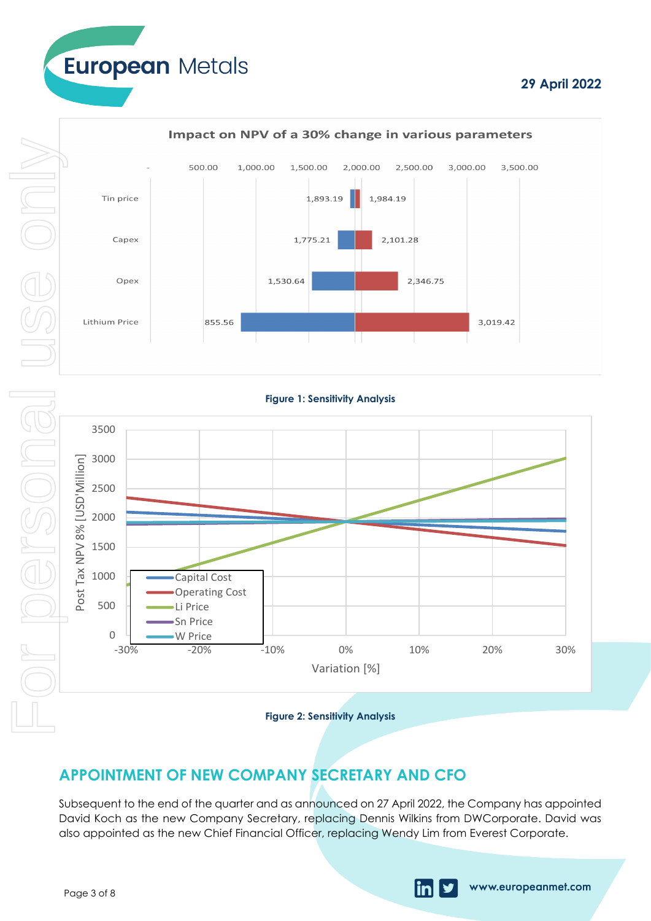## **29 April 2022**

www.europeanmet.com









**Figure 2: Sensitivity Analysis**

# **APPOINTMENT OF NEW COMPANY SECRETARY AND CFO**

Subsequent to the end of the quarter and as announced on 27 April 2022, the Company has appointed David Koch as the new Company Secretary, replacing Dennis Wilkins from DWCorporate. David was also appointed as the new Chief Financial Officer, replacing Wendy Lim from Everest Corporate.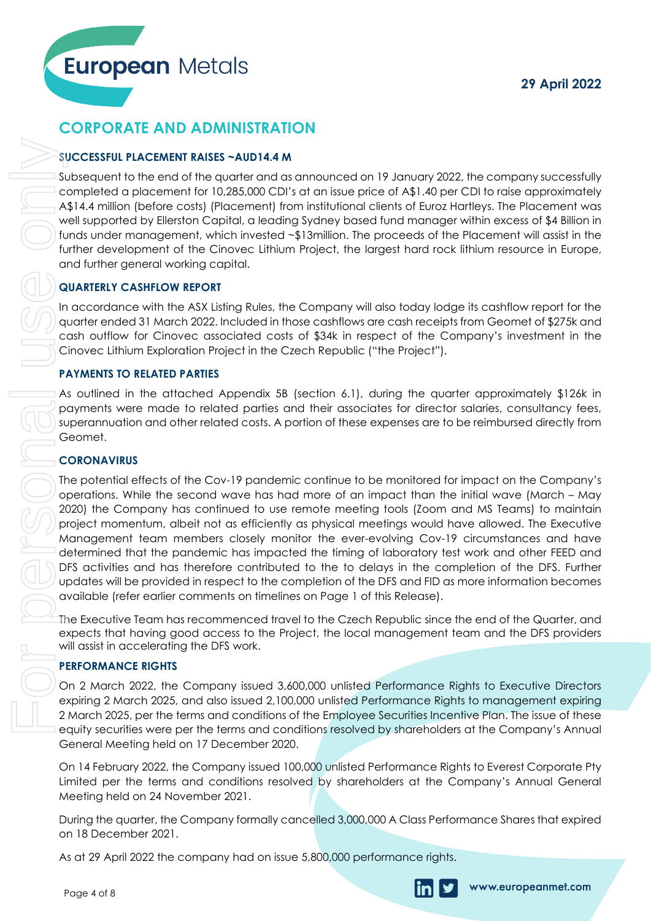## **CORPORATE AND ADMINISTRATION**

#### **SUCCESSFUL PLACEMENT RAISES ~AUD14.4 M**

Subsequent to the end of the quarter and as announced on 19 January 2022, the company successfully completed a placement for 10,285,000 CDI's at an issue price of A\$1.40 per CDI to raise approximately A\$14.4 million (before costs) (Placement) from institutional clients of Euroz Hartleys. The Placement was well supported by Ellerston Capital, a leading Sydney based fund manager within excess of \$4 Billion in funds under management, which invested ~\$13million. The proceeds of the Placement will assist in the further development of the Cinovec Lithium Project, the largest hard rock lithium resource in Europe, and further general working capital.

#### **QUARTERLY CASHFLOW REPORT**

In accordance with the ASX Listing Rules, the Company will also today lodge its cashflow report for the quarter ended 31 March 2022. Included in those cashflows are cash receipts from Geomet of \$275k and cash outflow for Cinovec associated costs of \$34k in respect of the Company's investment in the Cinovec Lithium Exploration Project in the Czech Republic ("the Project").

#### **PAYMENTS TO RELATED PARTIES**

As outlined in the attached Appendix 5B (section 6.1), during the quarter approximately \$126k in payments were made to related parties and their associates for director salaries, consultancy fees, superannuation and other related costs. A portion of these expenses are to be reimbursed directly from Geomet.

#### **CORONAVIRUS**

The potential effects of the Cov-19 pandemic continue to be monitored for impact on the Company's operations. While the second wave has had more of an impact than the initial wave (March – May 2020) the Company has continued to use remote meeting tools (Zoom and MS Teams) to maintain project momentum, albeit not as efficiently as physical meetings would have allowed. The Executive Management team members closely monitor the ever-evolving Cov-19 circumstances and have determined that the pandemic has impacted the timing of laboratory test work and other FEED and DFS activities and has therefore contributed to the to delays in the completion of the DFS. Further updates will be provided in respect to the completion of the DFS and FID as more information becomes available (refer earlier comments on timelines on Page 1 of this Release). successfuu PLACEMenN RAISS ~AUD14.4 M<br>Subsequent to the end of the quare and as a completed a plocement for 10.285,000 CDVs of an issue price of AS1.40 per<br>AS144.0 persons and the company from the quare and as company from

The Executive Team has recommenced travel to the Czech Republic since the end of the Quarter, and expects that having good access to the Project, the local management team and the DFS providers will assist in accelerating the DFS work.

#### **PERFORMANCE RIGHTS**

On 2 March 2022, the Company issued 3,600,000 unlisted Performance Rights to Executive Directors expiring 2 March 2025, and also issued 2,100,000 unlisted Performance Rights to management expiring 2 March 2025, per the terms and conditions of the Employee Securities Incentive Plan. The issue of these equity securities were per the terms and conditions resolved by shareholders at the Company's Annual General Meeting held on 17 December 2020.

On 14 February 2022, the Company issued 100,000 unlisted Performance Rights to Everest Corporate Pty Limited per the terms and conditions resolved by shareholders at the Company's Annual General Meeting held on 24 November 2021.

During the quarter, the Company formally cancelled 3,000,000 A Class Performance Shares that expired on 18 December 2021.

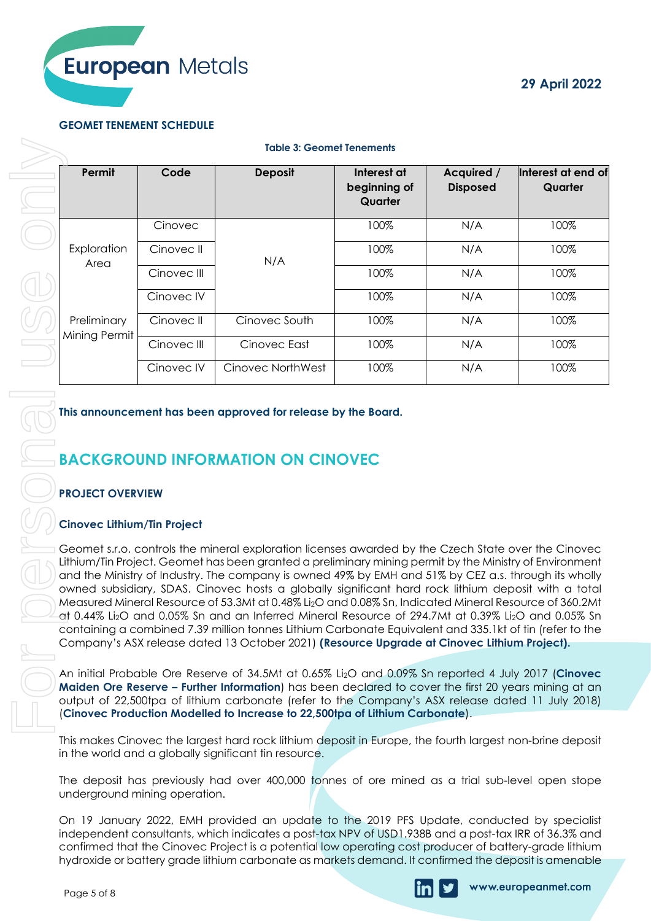

**29 April 2022**

#### **GEOMET TENEMENT SCHEDULE**

#### **Table 3: Geomet Tenements**

|                                                               |             | <b>Table 3: Geomet Tenements</b>                                                                                                                                                                                                                                                                                                                                                                                                                                                                                                                                                                                                                                                                                                                                                                                                                                                                                                                                                                                                                                                                                        |                                        |                               |                               |
|---------------------------------------------------------------|-------------|-------------------------------------------------------------------------------------------------------------------------------------------------------------------------------------------------------------------------------------------------------------------------------------------------------------------------------------------------------------------------------------------------------------------------------------------------------------------------------------------------------------------------------------------------------------------------------------------------------------------------------------------------------------------------------------------------------------------------------------------------------------------------------------------------------------------------------------------------------------------------------------------------------------------------------------------------------------------------------------------------------------------------------------------------------------------------------------------------------------------------|----------------------------------------|-------------------------------|-------------------------------|
| Permit                                                        | Code        | <b>Deposit</b>                                                                                                                                                                                                                                                                                                                                                                                                                                                                                                                                                                                                                                                                                                                                                                                                                                                                                                                                                                                                                                                                                                          | Interest at<br>beginning of<br>Quarter | Acquired /<br><b>Disposed</b> | Interest at end of<br>Quarter |
|                                                               | Cinovec     |                                                                                                                                                                                                                                                                                                                                                                                                                                                                                                                                                                                                                                                                                                                                                                                                                                                                                                                                                                                                                                                                                                                         | 100%                                   | N/A                           | 100%                          |
| Exploration                                                   | Cinovec II  |                                                                                                                                                                                                                                                                                                                                                                                                                                                                                                                                                                                                                                                                                                                                                                                                                                                                                                                                                                                                                                                                                                                         | 100%                                   | N/A                           | 100%                          |
| Area                                                          | Cinovec III | N/A                                                                                                                                                                                                                                                                                                                                                                                                                                                                                                                                                                                                                                                                                                                                                                                                                                                                                                                                                                                                                                                                                                                     | 100%                                   | N/A                           | 100%                          |
|                                                               | Cinovec IV  |                                                                                                                                                                                                                                                                                                                                                                                                                                                                                                                                                                                                                                                                                                                                                                                                                                                                                                                                                                                                                                                                                                                         | 100%                                   | N/A                           | 100%                          |
| Preliminary                                                   | Cinovec II  | Cinovec South                                                                                                                                                                                                                                                                                                                                                                                                                                                                                                                                                                                                                                                                                                                                                                                                                                                                                                                                                                                                                                                                                                           | 100%                                   | N/A                           | 100%                          |
| Mining Permit                                                 | Cinovec III | Cinovec East                                                                                                                                                                                                                                                                                                                                                                                                                                                                                                                                                                                                                                                                                                                                                                                                                                                                                                                                                                                                                                                                                                            | 100%                                   | N/A                           | 100%                          |
|                                                               | Cinovec IV  | Cinovec NorthWest                                                                                                                                                                                                                                                                                                                                                                                                                                                                                                                                                                                                                                                                                                                                                                                                                                                                                                                                                                                                                                                                                                       | 100%                                   | N/A                           | 100%                          |
| <b>PROJECT OVERVIEW</b><br><b>Cinovec Lithium/Tin Project</b> |             | Geomet s.r.o. controls the mineral exploration licenses awarded by the Czech State over the Cinovec<br>Lithium/Tin Project. Geomet has been granted a preliminary mining permit by the Ministry of Environment<br>and the Ministry of Industry. The company is owned 49% by EMH and 51% by CEZ a.s. through its wholly<br>owned subsidiary, SDAS. Cinovec hosts a globally significant hard rock lithium deposit with a total<br>Measured Mineral Resource of 53.3Mt at 0.48% Li <sub>2</sub> O and 0.08% Sn, Indicated Mineral Resource of 360.2Mt<br>at 0.44% Li <sub>2</sub> O and 0.05% Sn and an Inferred Mineral Resource of 294.7Mt at 0.39% Li <sub>2</sub> O and 0.05% Sn<br>containing a combined 7.39 million tonnes Lithium Carbonate Equivalent and 335.1kt of tin (refer to the<br>Company's ASX release dated 13 October 2021) (Resource Upgrade at Cinovec Lithium Project).<br>An initial Probable Ore Reserve of 34.5Mt at 0.65% Li <sub>2</sub> O and 0.09% Sn reported 4 July 2017 (Cinovec<br>Maiden Ore Reserve - Further Information) has been declared to cover the first 20 years mining at an |                                        |                               |                               |
|                                                               |             | output of 22,500tpa of lithium carbonate (refer to the Company's ASX release dated 11 July 2018)<br>(Cinovec Production Modelled to Increase to 22,500tpa of Lithium Carbonate).<br>This makes Cinovec the largest hard rock lithium deposit in Europe, the fourth largest non-brine deposit<br>in the world and a globally significant tin resource.                                                                                                                                                                                                                                                                                                                                                                                                                                                                                                                                                                                                                                                                                                                                                                   |                                        |                               |                               |
| underground mining operation.                                 |             | The deposit has previously had over 400,000 tonnes of ore mined as a trial sub-level open stope                                                                                                                                                                                                                                                                                                                                                                                                                                                                                                                                                                                                                                                                                                                                                                                                                                                                                                                                                                                                                         |                                        |                               |                               |
|                                                               |             | On 19 January 2022, EMH provided an update to the 2019 PFS Update, conducted by specialist<br>independent consultants, which indicates a post-tax NPV of USD1.938B and a post-tax IRR of 36.3% and<br>confirmed that the Cinovec Project is a potential low operating cost producer of battery-grade lithium<br>hydroxide or battery grade lithium carbonate as markets demand. It confirmed the deposit is amenable                                                                                                                                                                                                                                                                                                                                                                                                                                                                                                                                                                                                                                                                                                    |                                        |                               |                               |

#### **This announcement has been approved for release by the Board.**

# **BACKGROUND INFORMATION ON CINOVEC**

#### **PROJECT OVERVIEW**

#### **Cinovec Lithium/Tin Project**

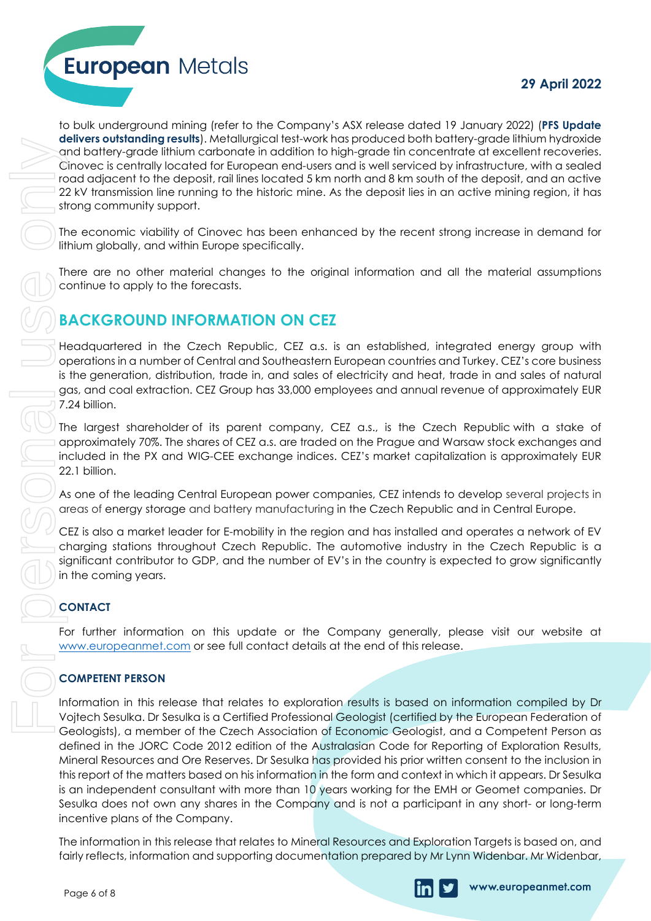## **29 April 2022**

to bulk underground mining (refer to the Company's ASX release dated 19 January 2022) (**PFS Update delivers outstanding results**). Metallurgical test-work has produced both battery-grade lithium hydroxide and battery-grade lithium carbonate in addition to high-grade tin concentrate at excellent recoveries. Cinovec is centrally located for European end-users and is well serviced by infrastructure, with a sealed road adjacent to the deposit, rail lines located 5 km north and 8 km south of the deposit, and an active 22 kV transmission line running to the historic mine. As the deposit lies in an active mining region, it has strong community support.

The economic viability of Cinovec has been enhanced by the recent strong increase in demand for lithium globally, and within Europe specifically.

There are no other material changes to the original information and all the material assumptions continue to apply to the forecasts.

## **BACKGROUND INFORMATION ON CEZ**

Headquartered in the Czech Republic, CEZ a.s. is an established, integrated energy group with operations in a number of Central and Southeastern European countries and Turkey. CEZ's core business is the generation, distribution, trade in, and sales of electricity and heat, trade in and sales of natural gas, and coal extraction. CEZ Group has 33,000 employees and annual revenue of approximately EUR 7.24 billion.

The largest shareholder of its parent company, CEZ a.s., is the Czech Republic with a stake of approximately 70%. The shares of CEZ a.s. are traded on the Prague and Warsaw stock exchanges and included in the PX and WIG-CEE exchange indices. CEZ's market capitalization is approximately EUR 22.1 billion.

As one of the leading Central European power companies, CEZ intends to develop several projects in areas of energy storage and battery manufacturing in the Czech Republic and in Central Europe.

CEZ is also a market leader for E-mobility in the region and has installed and operates a network of EV charging stations throughout Czech Republic. The automotive industry in the Czech Republic is a significant contributor to GDP, and the number of EV's in the country is expected to grow significantly in the coming years.

### **CONTACT**

For further information on this update or the Company generally, please visit our website at [www.europeanmet.com](http://www.europeanmet.com/) or see full contact details at the end of this release.

#### **COMPETENT PERSON**

Information in this release that relates to exploration results is based on information compiled by Dr Vojtech Sesulka. Dr Sesulka is a Certified Professional Geologist (certified by the European Federation of Geologists), a member of the Czech Association of Economic Geologist, and a Competent Person as defined in the JORC Code 2012 edition of the Australasian Code for Reporting of Exploration Results, Mineral Resources and Ore Reserves. Dr Sesulka has provided his prior written consent to the inclusion in this report of the matters based on his information in the form and context in which it appears. Dr Sesulka is an independent consultant with more than 10 years working for the EMH or Geomet companies. Dr Sesulka does not own any shares in the Company and is not a participant in any short- or long-term incentive plans of the Company. Fairly reflects that the content of the content of the content of the content of the content of the content of the support of the support of the support of the support of the support of the support of the support of the su

The information in this release that relates to Mineral Resources and Exploration Targets is based on, and

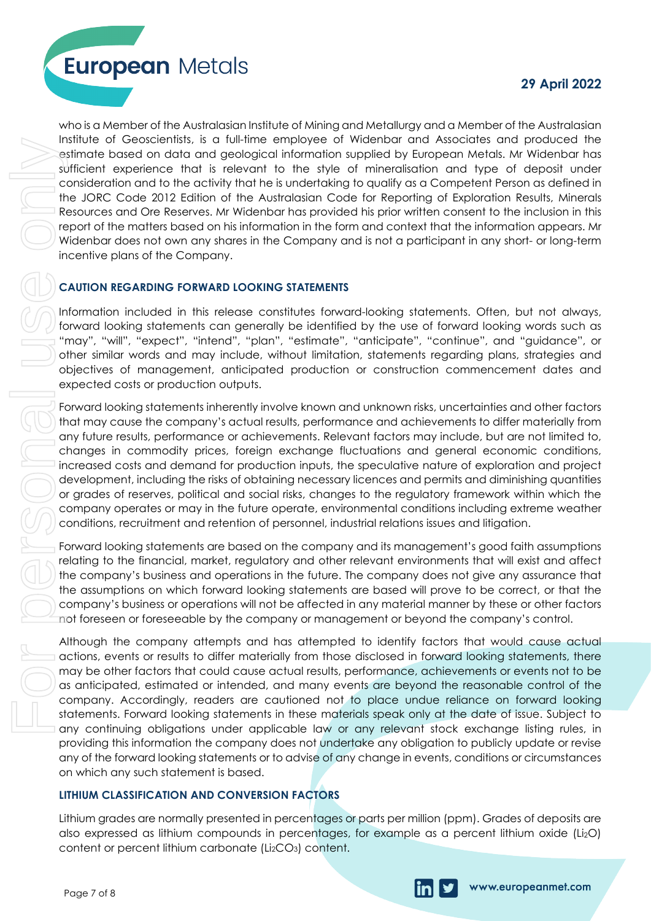

www.europeanmet.com

who is a Member of the Australasian Institute of Mining and Metallurgy and a Member of the Australasian Institute of Geoscientists, is a full-time employee of Widenbar and Associates and produced the estimate based on data and geological information supplied by European Metals. Mr Widenbar has sufficient experience that is relevant to the style of mineralisation and type of deposit under consideration and to the activity that he is undertaking to qualify as a Competent Person as defined in the JORC Code 2012 Edition of the Australasian Code for Reporting of Exploration Results, Minerals Resources and Ore Reserves. Mr Widenbar has provided his prior written consent to the inclusion in this report of the matters based on his information in the form and context that the information appears. Mr Widenbar does not own any shares in the Company and is not a participant in any short- or long-term incentive plans of the Company.

#### **CAUTION REGARDING FORWARD LOOKING STATEMENTS**

Information included in this release constitutes forward-looking statements. Often, but not always, forward looking statements can generally be identified by the use of forward looking words such as "may", "will", "expect", "intend", "plan", "estimate", "anticipate", "continue", and "guidance", or other similar words and may include, without limitation, statements regarding plans, strategies and objectives of management, anticipated production or construction commencement dates and expected costs or production outputs.

Forward looking statements inherently involve known and unknown risks, uncertainties and other factors that may cause the company's actual results, performance and achievements to differ materially from any future results, performance or achievements. Relevant factors may include, but are not limited to, changes in commodity prices, foreign exchange fluctuations and general economic conditions, increased costs and demand for production inputs, the speculative nature of exploration and project development, including the risks of obtaining necessary licences and permits and diminishing quantities or grades of reserves, political and social risks, changes to the regulatory framework within which the company operates or may in the future operate, environmental conditions including extreme weather conditions, recruitment and retention of personnel, industrial relations issues and litigation.

Forward looking statements are based on the company and its management's good faith assumptions relating to the financial, market, regulatory and other relevant environments that will exist and affect the company's business and operations in the future. The company does not give any assurance that the assumptions on which forward looking statements are based will prove to be correct, or that the company's business or operations will not be affected in any material manner by these or other factors not foreseen or foreseeable by the company or management or beyond the company's control.

Although the company attempts and has attempted to identify factors that would cause actual actions, events or results to differ materially from those disclosed in forward looking statements, there may be other factors that could cause actual results, performance, achievements or events not to be as anticipated, estimated or intended, and many events are beyond the reasonable control of the company. Accordingly, readers are cautioned not to place undue reliance on forward looking statements. Forward looking statements in these materials speak only at the date of issue. Subject to any continuing obligations under applicable law or any relevant stock exchange listing rules, in providing this information the company does not undertake any obligation to publicly update or revise any of the forward looking statements or to advise of any change in events, conditions or circumstances on which any such statement is based. minited or edocseminists, is a diuri-line employee or performation and performation considered in a DRC Code 2012 Edition of the Australian Considered in the substitution of the origin the substitution of the origin of the

#### **LITHIUM CLASSIFICATION AND CONVERSION FACTORS**

Lithium grades are normally presented in percentages or parts per million (ppm). Grades of deposits are also expressed as lithium compounds in percentages, for example as a percent lithium oxide (Li2O)